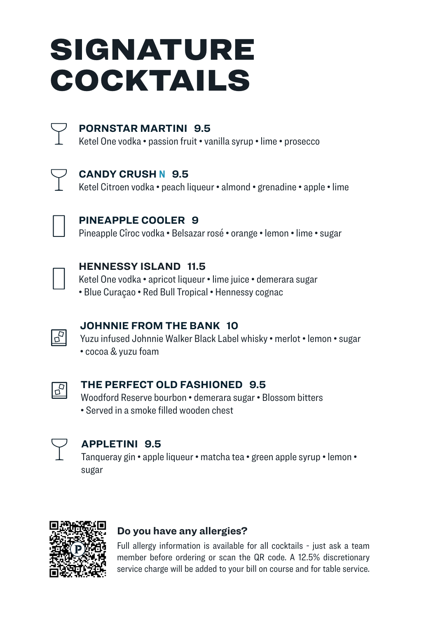# SIGNATURE COCKTAILS



### **PORNSTAR MARTINI 9.5**

Ketel One vodka • passion fruit • vanilla syrup • lime • prosecco



### **CANDY CRUSH N 9.5**

Ketel Citroen vodka • peach liqueur • almond • grenadine • apple • lime



### **PINEAPPLE COOLER 9**

Pineapple Cîroc vodka • Belsazar rosé • orange • lemon • lime • sugar



### **HENNESSY ISLAND 11.5**

Ketel One vodka • apricot liqueur • lime juice • demerara sugar

• Blue Curaçao • Red Bull Tropical • Hennessy cognac



### **JOHNNIE FROM THE BANK 10**

Yuzu infused Johnnie Walker Black Label whisky • merlot • lemon • sugar • cocoa & yuzu foam



### **THE PERFECT OLD FASHIONED 9.5**

Woodford Reserve bourbon • demerara sugar • Blossom bitters • Served in a smoke filled wooden chest



### **APPLETINI 9.5**

Tanqueray gin • apple liqueur • matcha tea • green apple syrup • lemon • sugar



### **Do you have any allergies?**

Full allergy information is available for all cocktails - just ask a team member before ordering or scan the QR code. A 12.5% discretionary service charge will be added to your bill on course and for table service.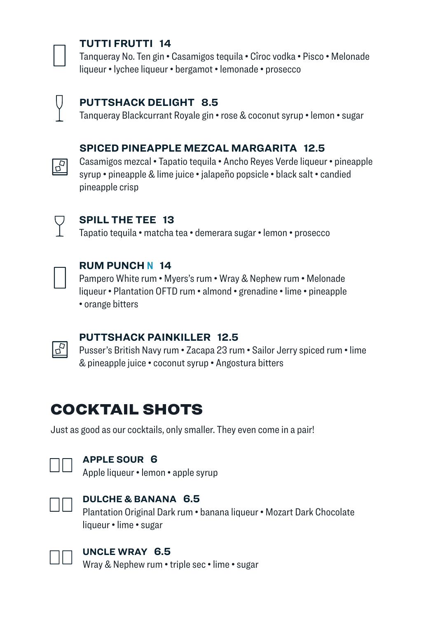

### **TUTTI FRUTTI 14**

Tanqueray No. Ten gin • Casamigos tequila • Cîroc vodka • Pisco • Melonade liqueur • lychee liqueur • bergamot • lemonade • prosecco



### **PUTTSHACK DELIGHT 8.5**

Tanqueray Blackcurrant Royale gin • rose & coconut syrup • lemon • sugar

### **SPICED PINEAPPLE MEZCAL MARGARITA 12.5**

Casamigos mezcal • Tapatio tequila • Ancho Reyes Verde liqueur • pineapple syrup • pineapple & lime juice • jalapeño popsicle • black salt • candied pineapple crisp



 $\sqrt{5}$ 

### **SPILL THE TEE 13**

Tapatio tequila • matcha tea • demerara sugar • lemon • prosecco



### **RUM PUNCH N 14**

Pampero White rum • Myers's rum • Wray & Nephew rum • Melonade liqueur • Plantation OFTD rum • almond • grenadine • lime • pineapple • orange bitters



### **PUTTSHACK PAINKILLER 12.5**

Pusser's British Navy rum • Zacapa 23 rum • Sailor Jerry spiced rum • lime & pineapple juice • coconut syrup • Angostura bitters

# COCKTAIL SHOTS

Just as good as our cocktails, only smaller. They even come in a pair!



### **APPLE SOUR 6**

Apple liqueur • lemon • apple syrup



### **DULCHE & BANANA 6.5**

Plantation Original Dark rum • banana liqueur • Mozart Dark Chocolate liqueur • lime • sugar



### **UNCLE WRAY 6.5**

Wray & Nephew rum • triple sec • lime • sugar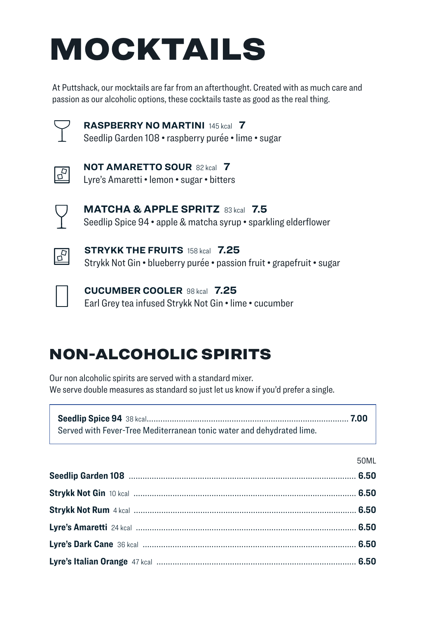# MOCKTAILS

At Puttshack, our mocktails are far from an afterthought. Created with as much care and passion as our alcoholic options, these cocktails taste as good as the real thing.



**RASPBERRY NO MARTINI** 145 kcal **7** Seedlip Garden 108 • raspberry purée • lime • sugar



**NOT AMARETTO SOUR** 82 kcal **7** Lyre's Amaretti • lemon • sugar • bitters



**MATCHA & APPLE SPRITZ** 83 kcal **7.5** Seedlip Spice 94 • apple & matcha syrup • sparkling elderflower



**STRYKK THE FRUITS** 158 kcal **7.25** Strykk Not Gin • blueberry purée • passion fruit • grapefruit • sugar



**CUCUMBER COOLER** 98 kcal **7.25** Earl Grey tea infused Strykk Not Gin • lime • cucumber

# NON-ALCOHOLIC SPIRITS

Our non alcoholic spirits are served with a standard mixer. We serve double measures as standard so just let us know if you'd prefer a single.

| Served with Fever-Tree Mediterranean tonic water and dehydrated lime. |  |
|-----------------------------------------------------------------------|--|

| 50MI |
|------|
|      |
|      |
|      |
|      |
|      |
|      |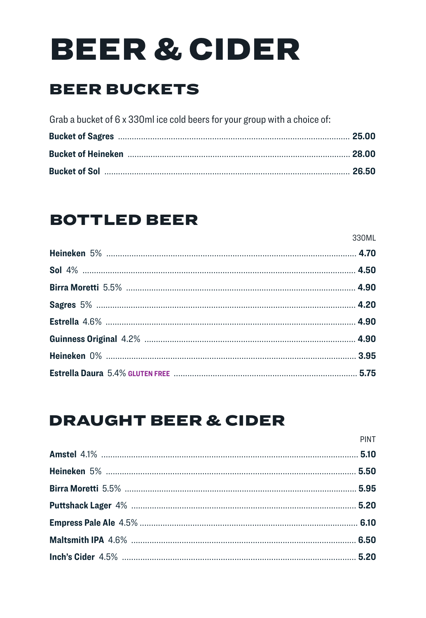# **BEER & CIDER**

# **BEER BUCKETS**

| Grab a bucket of 6 x 330ml ice cold beers for your group with a choice of: |  |
|----------------------------------------------------------------------------|--|
|                                                                            |  |
|                                                                            |  |
|                                                                            |  |

## **BOTTLED BEER**

| 330ML |
|-------|
|       |
|       |
|       |
|       |
|       |
|       |
|       |
|       |

# **DRAUGHT BEER & CIDER**

| <b>PINT</b> |
|-------------|
|             |
|             |
|             |
|             |
|             |
|             |
|             |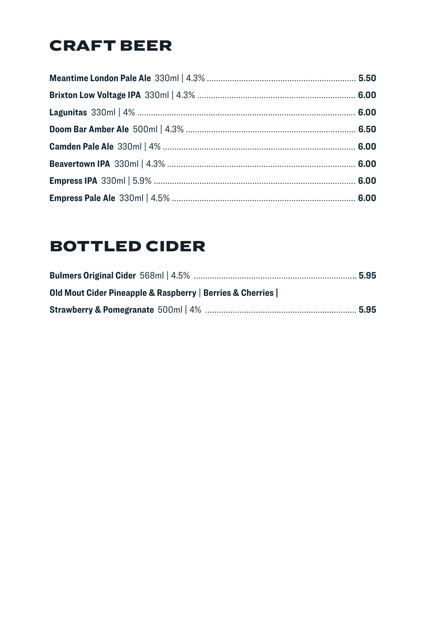# **CRAFT BEER**

# **BOTTLED CIDER**

| Old Mout Cider Pineapple & Raspberry   Berries & Cherries |  |
|-----------------------------------------------------------|--|
|                                                           |  |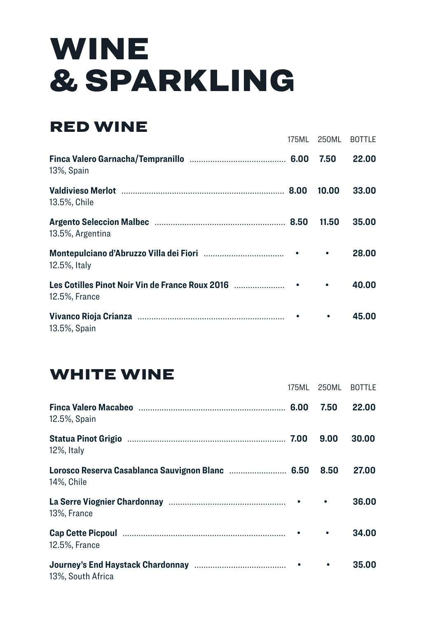# WINE & SPARKLING

# RED WINE

|                                                                  | 175ML 250ML BOTTLE |       |
|------------------------------------------------------------------|--------------------|-------|
| 13%, Spain                                                       | 7.50               | 22.00 |
| 13.5%, Chile                                                     | 10.00              | 33.00 |
| 13.5%, Argentina                                                 | 11.50              | 35.00 |
| 12.5%, Italy                                                     | ٠                  | 28.00 |
| Les Cotilles Pinot Noir Vin de France Roux 2016<br>12.5%, France | ٠                  | 40.00 |
| 13.5%, Spain                                                     |                    | 45.00 |

## WHITE WINE

|                   | 175ML |      | 250ML BOTTLE |
|-------------------|-------|------|--------------|
| 12.5%, Spain      |       | 7.50 | 22.00        |
| 12%, Italy        |       | 9.00 | 30.00        |
| 14%, Chile        |       | 8.50 | 27.00        |
| 13%. France       |       |      | 36.00        |
| 12.5%, France     |       | ٠    | 34.00        |
| 13%, South Africa |       |      | 35.00        |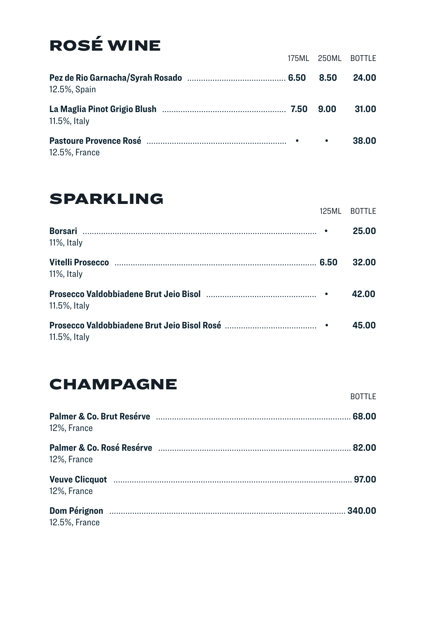# ROSÉ WINE

|               | 175ML 250ML BOTTLE |       |
|---------------|--------------------|-------|
| 12.5%, Spain  | 8.50               | 24.00 |
| 11.5%, Italy  | 9.00               | 31.00 |
| 12.5%, France |                    | 38.00 |

# SPARKLING

|              | 125MI BOTTLE |
|--------------|--------------|
| 11%, Italy   | 25.00        |
| 11%, Italy   | 32.00        |
| 11.5%, Italy | 42.00        |
| 11.5%, Italy | 45.00        |

# CHAMPAGNE

|               | <b>BOTTLF</b> |
|---------------|---------------|
| 12%, France   |               |
| 12%, France   |               |
| 12%, France   |               |
| 12.5%, France |               |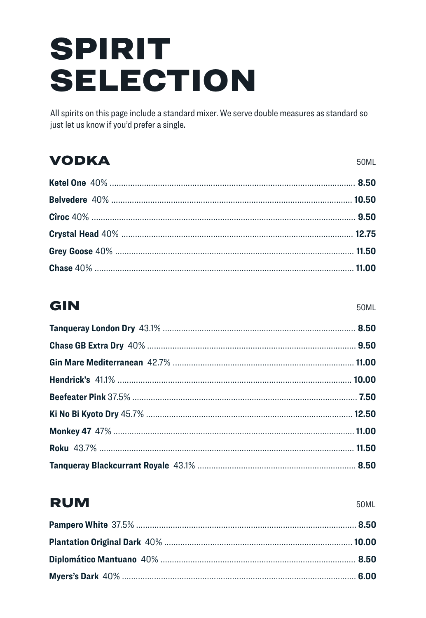# **SPIRIT SELECTION**

All spirits on this page include a standard mixer. We serve double measures as standard so just let us know if you'd prefer a single.

### **VODKA**

50ML

## GIN

50ML

## **RUM**

**50ML**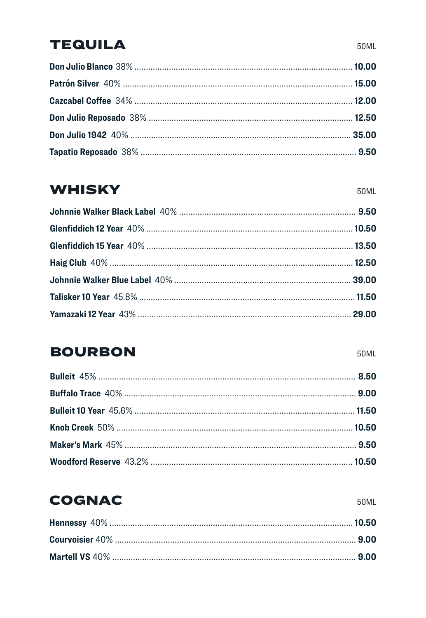### **TEQUILA**

## **WHISKY**

## **BOURBON**

50ML

50ML

# **COGNAC**

50ML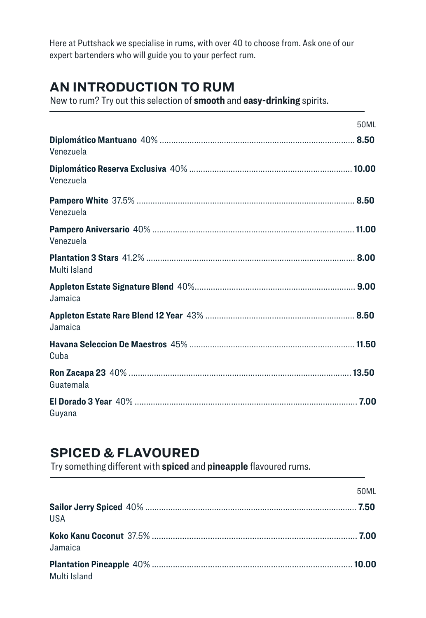Here at Puttshack we specialise in rums, with over 40 to choose from. Ask one of our expert bartenders who will guide you to your perfect rum.

### **AN INTRODUCTION TO RUM**

New to rum? Try out this selection of **smooth** and **easy-drinking** spirits.

|              | 50MI |
|--------------|------|
| Venezuela    |      |
| Venezuela    |      |
| Venezuela    |      |
| Venezuela    |      |
| Multi Island |      |
| Jamaica      |      |
| Jamaica      |      |
| Cuba         |      |
| Guatemala    |      |
| Guyana       |      |

### **SPICED & FLAVOURED**

Try something different with **spiced** and **pineapple** flavoured rums.

|              | 50MI |
|--------------|------|
| USA          |      |
| Jamaica      |      |
| Multi Island |      |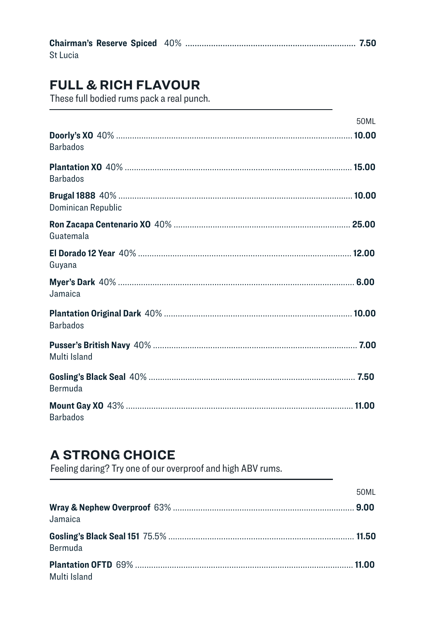| St Lucia |  |
|----------|--|

### **FULL & RICH FLAVOUR**

These full bodied rums pack a real punch.

|                    | 50ML |
|--------------------|------|
| <b>Barbados</b>    |      |
| <b>Barbados</b>    |      |
| Dominican Republic |      |
| Guatemala          |      |
| Guyana             |      |
| Jamaica            |      |
| <b>Barbados</b>    |      |
| Multi Island       |      |
| <b>Bermuda</b>     |      |
| <b>Barbados</b>    |      |

### **A STRONG CHOICE**

Feeling daring? Try one of our overproof and high ABV rums.

|              | 50MI |
|--------------|------|
| Jamaica      |      |
| Bermuda      |      |
| Multi Island |      |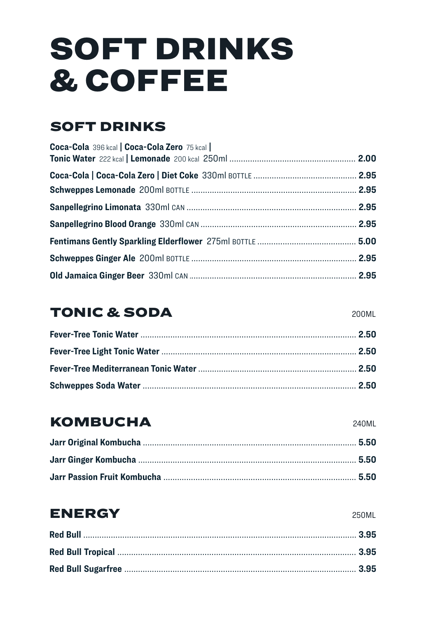# **SOFT DRINKS & COFFEE**

### **SOFT DRINKS**

| Coca-Cola 396 kcal   Coca-Cola Zero 75 kcal |  |
|---------------------------------------------|--|
|                                             |  |
|                                             |  |
|                                             |  |
|                                             |  |
|                                             |  |
|                                             |  |
|                                             |  |

## **TONIC & SODA**

## **KOMBUCHA**

## **ENERGY**

250ML

**240MI** 

#### 200MI